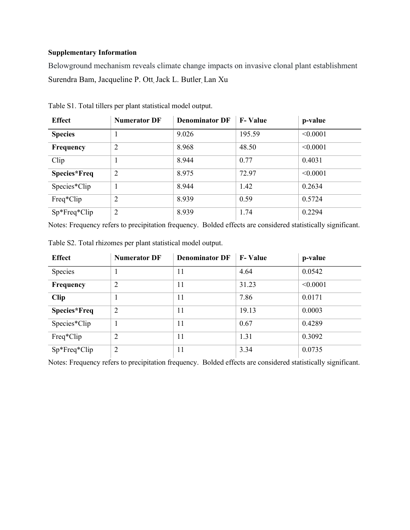## **Supplementary Information**

Belowground mechanism reveals climate change impacts on invasive clonal plant establishment Surendra Bam, Jacqueline P. Ott, Jack L. Butler, Lan Xu

| <b>Effect</b>  | <b>Numerator DF</b> | <b>Denominator DF</b> | <b>F-Value</b> | p-value  |
|----------------|---------------------|-----------------------|----------------|----------|
| <b>Species</b> |                     | 9.026                 | 195.59         | < 0.0001 |
| Frequency      | $\overline{2}$      | 8.968                 | 48.50          | < 0.0001 |
| Clip           |                     | 8.944                 | 0.77           | 0.4031   |
| Species*Freq   | $\overline{2}$      | 8.975                 | 72.97          | < 0.0001 |
| Species*Clip   |                     | 8.944                 | 1.42           | 0.2634   |
| Freq*Clip      | $\overline{2}$      | 8.939                 | 0.59           | 0.5724   |
| Sp*Freq*Clip   | $\overline{2}$      | 8.939                 | 1.74           | 0.2294   |

Table S1. Total tillers per plant statistical model output.

Notes: Frequency refers to precipitation frequency. Bolded effects are considered statistically significant.

| <b>Effect</b>       | <b>Numerator DF</b> | <b>Denominator DF</b> | <b>F</b> -Value | p-value  |
|---------------------|---------------------|-----------------------|-----------------|----------|
| Species             | $\mathbf{I}$        | 11                    | 4.64            | 0.0542   |
| Frequency           | $\overline{2}$      | 11                    | 31.23           | < 0.0001 |
| <b>Clip</b>         |                     | 11                    | 7.86            | 0.0171   |
| <b>Species*Freq</b> | $\overline{2}$      | 11                    | 19.13           | 0.0003   |
| Species*Clip        | 1                   | 11                    | 0.67            | 0.4289   |
| Freq*Clip           | $\overline{2}$      | 11                    | 1.31            | 0.3092   |
| Sp*Freq*Clip        | $\overline{2}$      | 11                    | 3.34            | 0.0735   |

Table S2. Total rhizomes per plant statistical model output.

Notes: Frequency refers to precipitation frequency. Bolded effects are considered statistically significant.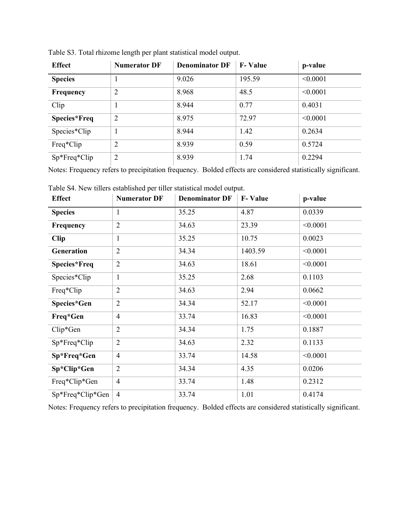| <b>Effect</b>  | <b>Numerator DF</b> | <b>Denominator DF</b> | <b>F</b> -Value | p-value  |
|----------------|---------------------|-----------------------|-----------------|----------|
| <b>Species</b> | -1                  | 9.026                 | 195.59          | < 0.0001 |
| Frequency      | $\overline{2}$      | 8.968                 | 48.5            | < 0.0001 |
| Clip           | 1                   | 8.944                 | 0.77            | 0.4031   |
| Species*Freq   | $\overline{2}$      | 8.975                 | 72.97           | < 0.0001 |
| Species*Clip   |                     | 8.944                 | 1.42            | 0.2634   |
| Freq*Clip      | $\overline{2}$      | 8.939                 | 0.59            | 0.5724   |
| Sp*Freq*Clip   | $\overline{2}$      | 8.939                 | 1.74            | 0.2294   |

Table S3. Total rhizome length per plant statistical model output.

Notes: Frequency refers to precipitation frequency. Bolded effects are considered statistically significant.

| <b>Effect</b>       | <b>Numerator DF</b> | <b>Denominator DF</b> | <b>F-Value</b> | p-value  |
|---------------------|---------------------|-----------------------|----------------|----------|
| <b>Species</b>      | 1                   | 35.25                 | 4.87           | 0.0339   |
| Frequency           | $\overline{2}$      | 34.63                 | 23.39          | < 0.0001 |
| <b>Clip</b>         | 1                   | 35.25                 | 10.75          | 0.0023   |
| Generation          | $\overline{2}$      | 34.34                 | 1403.59        | < 0.0001 |
| <b>Species*Freq</b> | $\overline{2}$      | 34.63                 | 18.61          | < 0.0001 |
| Species*Clip        | $\mathbf{1}$        | 35.25                 | 2.68           | 0.1103   |
| Freq*Clip           | $\overline{2}$      | 34.63                 | 2.94           | 0.0662   |
| Species*Gen         | $\overline{2}$      | 34.34                 | 52.17          | < 0.0001 |
| Freq*Gen            | $\overline{4}$      | 33.74                 | 16.83          | < 0.0001 |
| Clip*Gen            | $\overline{2}$      | 34.34                 | 1.75           | 0.1887   |
| Sp*Freq*Clip        | $\overline{2}$      | 34.63                 | 2.32           | 0.1133   |
| Sp*Freq*Gen         | $\overline{4}$      | 33.74                 | 14.58          | < 0.0001 |
| Sp*Clip*Gen         | $\overline{2}$      | 34.34                 | 4.35           | 0.0206   |
| Freq*Clip*Gen       | $\overline{4}$      | 33.74                 | 1.48           | 0.2312   |
| Sp*Freq*Clip*Gen    | $\overline{4}$      | 33.74                 | 1.01           | 0.4174   |

Table S4. New tillers established per tiller statistical model output.

Notes: Frequency refers to precipitation frequency. Bolded effects are considered statistically significant.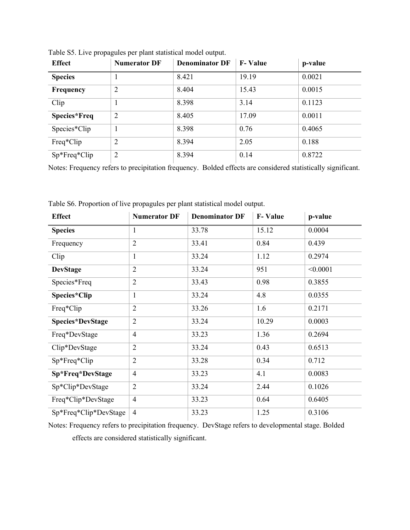| <b>Effect</b>       | <b>Numerator DF</b> | <b>Denominator DF</b> | <b>F</b> -Value | p-value |
|---------------------|---------------------|-----------------------|-----------------|---------|
| <b>Species</b>      | $\mathbf{I}$        | 8.421                 | 19.19           | 0.0021  |
| Frequency           | $\overline{2}$      | 8.404                 | 15.43           | 0.0015  |
| Clip                |                     | 8.398                 | 3.14            | 0.1123  |
| <b>Species*Freq</b> | $\overline{2}$      | 8.405                 | 17.09           | 0.0011  |
| Species*Clip        |                     | 8.398                 | 0.76            | 0.4065  |
| Freq*Clip           | $\overline{2}$      | 8.394                 | 2.05            | 0.188   |
| Sp*Freq*Clip        | $\overline{2}$      | 8.394                 | 0.14            | 0.8722  |

Table S5. Live propagules per plant statistical model output.

Notes: Frequency refers to precipitation frequency. Bolded effects are considered statistically significant.

| <b>Effect</b>         | <b>Numerator DF</b> | <b>Denominator DF</b> | <b>F-Value</b> | p-value  |
|-----------------------|---------------------|-----------------------|----------------|----------|
| <b>Species</b>        | 1                   | 33.78                 | 15.12          | 0.0004   |
| Frequency             | $\overline{2}$      | 33.41                 | 0.84           | 0.439    |
| Clip                  | 1                   | 33.24                 | 1.12           | 0.2974   |
| <b>DevStage</b>       | $\overline{2}$      | 33.24                 | 951            | < 0.0001 |
| Species*Freq          | $\overline{2}$      | 33.43                 | 0.98           | 0.3855   |
| Species*Clip          | $\mathbf{1}$        | 33.24                 | 4.8            | 0.0355   |
| Freq*Clip             | $\overline{2}$      | 33.26                 | 1.6            | 0.2171   |
| Species*DevStage      | $\overline{2}$      | 33.24                 | 10.29          | 0.0003   |
| Freq*DevStage         | $\overline{4}$      | 33.23                 | 1.36           | 0.2694   |
| Clip*DevStage         | $\overline{2}$      | 33.24                 | 0.43           | 0.6513   |
| Sp*Freq*Clip          | $\overline{2}$      | 33.28                 | 0.34           | 0.712    |
| Sp*Freq*DevStage      | $\overline{4}$      | 33.23                 | 4.1            | 0.0083   |
| Sp*Clip*DevStage      | $\overline{2}$      | 33.24                 | 2.44           | 0.1026   |
| Freq*Clip*DevStage    | $\overline{4}$      | 33.23                 | 0.64           | 0.6405   |
| Sp*Freq*Clip*DevStage | $\overline{4}$      | 33.23                 | 1.25           | 0.3106   |

Table S6. Proportion of live propagules per plant statistical model output.

Notes: Frequency refers to precipitation frequency. DevStage refers to developmental stage. Bolded effects are considered statistically significant.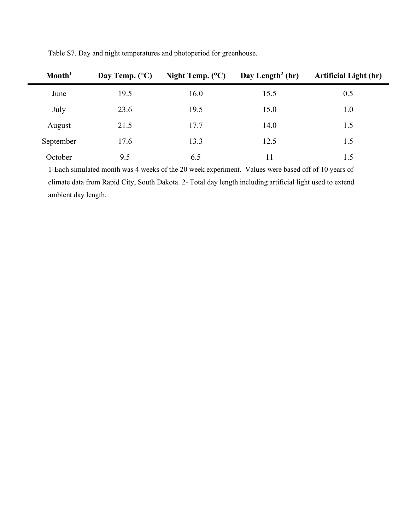| Month <sup>1</sup> | Day Temp. $(^{\circ}C)$ | Night Temp. $(^{\circ}C)$ | Day Length <sup>2</sup> (hr) | <b>Artificial Light (hr)</b> |
|--------------------|-------------------------|---------------------------|------------------------------|------------------------------|
| June               | 19.5                    | 16.0                      | 15.5                         | 0.5                          |
| July               | 23.6                    | 19.5                      | 15.0                         | 1.0                          |
| August             | 21.5                    | 17.7                      | 14.0                         | 1.5                          |
| September          | 17.6                    | 13.3                      | 12.5                         | 1.5                          |
| October            | 9.5                     | 6.5                       | 11                           | 1.5                          |

Table S7. Day and night temperatures and photoperiod for greenhouse.

1-Each simulated month was 4 weeks of the 20 week experiment. Values were based off of 10 years of climate data from Rapid City, South Dakota. 2- Total day length including artificial light used to extend ambient day length.